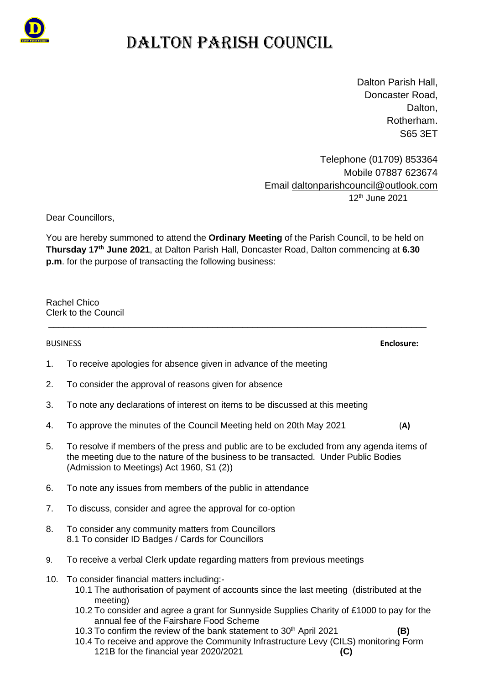

## DALTON PARISH COUNCIL

Dalton Parish Hall, Doncaster Road, Dalton. Rotherham. S65 3ET

Telephone (01709) 853364 Mobile 07887 623674 Email [daltonparishcouncil@outlook.com](mailto:daltonparishcouncil@outlook.com) 12<sup>th</sup> June 2021

Dear Councillors,

You are hereby summoned to attend the **Ordinary Meeting** of the Parish Council, to be held on **Thursday 17th June 2021**, at Dalton Parish Hall, Doncaster Road, Dalton commencing at **6.30 p.m**. for the purpose of transacting the following business:

\_\_\_\_\_\_\_\_\_\_\_\_\_\_\_\_\_\_\_\_\_\_\_\_\_\_\_\_\_\_\_\_\_\_\_\_\_\_\_\_\_\_\_\_\_\_\_\_\_\_\_\_\_\_\_\_\_\_\_\_\_\_\_\_\_\_\_\_\_\_\_\_\_\_\_\_

Rachel Chico Clerk to the Council

BUSINESS **Enclosure:**

- 1. To receive apologies for absence given in advance of the meeting
- 2. To consider the approval of reasons given for absence
- 3. To note any declarations of interest on items to be discussed at this meeting
- 4. To approve the minutes of the Council Meeting held on 20th May 2021 (**A)**
- 5. To resolve if members of the press and public are to be excluded from any agenda items of the meeting due to the nature of the business to be transacted. Under Public Bodies (Admission to Meetings) Act 1960, S1 (2))
- 6. To note any issues from members of the public in attendance
- 7. To discuss, consider and agree the approval for co-option
- 8. To consider any community matters from Councillors 8.1 To consider ID Badges / Cards for Councillors
- 9. To receive a verbal Clerk update regarding matters from previous meetings
- 10. To consider financial matters including:-
	- 10.1 The authorisation of payment of accounts since the last meeting (distributed at the meeting)
	- 10.2 To consider and agree a grant for Sunnyside Supplies Charity of £1000 to pay for the annual fee of the Fairshare Food Scheme
	- 10.3 To confirm the review of the bank statement to 30th April 2021 **(B)**
	- 10.4 To receive and approve the Community Infrastructure Levy (CILS) monitoring Form 121B for the financial year 2020/2021 **(C)**